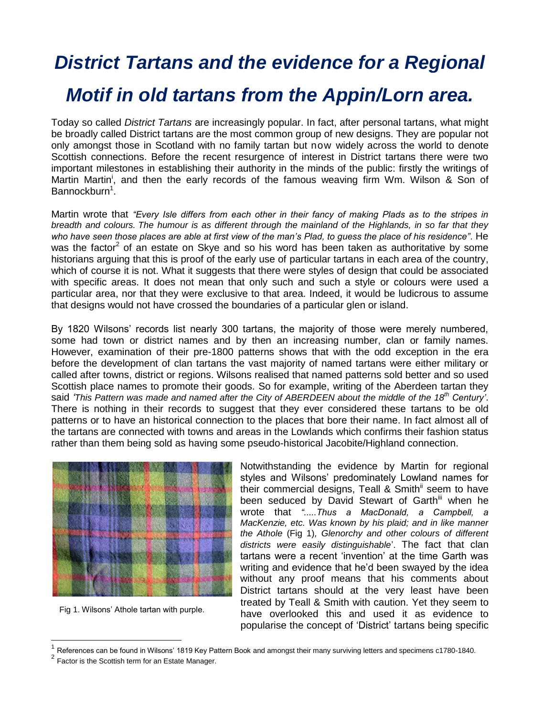## *District Tartans and the evidence for a Regional Motif in old tartans from the Appin/Lorn area.*

Today so called *District Tartans* are increasingly popular. In fact, after personal tartans, what might be broadly called District tartans are the most common group of new designs. They are popular not only amongst those in Scotland with no family tartan but now widely across the world to denote Scottish connections. Before the recent resurgence of interest in District tartans there were two important milestones in establishing their authority in the minds of the public: firstly the writings of Martin Martin<sup>i</sup>, and then the early records of the famous weaving firm Wm. Wilson & Son of Bannockburn<sup>1</sup>.

Martin wrote that *"Every Isle differs from each other in their fancy of making Plads as to the stripes in breadth and colours. The humour is as different through the mainland of the Highlands, in so far that they who have seen those places are able at first view of the man"s Plad, to guess the place of his residence"*. He was the factor<sup>2</sup> of an estate on Skye and so his word has been taken as authoritative by some historians arguing that this is proof of the early use of particular tartans in each area of the country, which of course it is not. What it suggests that there were styles of design that could be associated with specific areas. It does not mean that only such and such a style or colours were used a particular area, nor that they were exclusive to that area. Indeed, it would be ludicrous to assume that designs would not have crossed the boundaries of a particular glen or island.

By 1820 Wilsons' records list nearly 300 tartans, the majority of those were merely numbered, some had town or district names and by then an increasing number, clan or family names. However, examination of their pre-1800 patterns shows that with the odd exception in the era before the development of clan tartans the vast majority of named tartans were either military or called after towns, district or regions. Wilsons realised that named patterns sold better and so used Scottish place names to promote their goods. So for example, writing of the Aberdeen tartan they said *"This Pattern was made and named after the City of ABERDEEN about the middle of the 18th Century"*. There is nothing in their records to suggest that they ever considered these tartans to be old patterns or to have an historical connection to the places that bore their name. In fact almost all of the tartans are connected with towns and areas in the Lowlands which confirms their fashion status rather than them being sold as having some pseudo-historical Jacobite/Highland connection.



Fig 1. Wilsons' Athole tartan with purple.

Notwithstanding the evidence by Martin for regional styles and Wilsons' predominately Lowland names for their commercial designs, Teall & Smith<sup>ii</sup> seem to have been seduced by David Stewart of Garth<sup>iii</sup> when he wrote that *".....Thus a MacDonald, a Campbell, a MacKenzie, etc. Was known by his plaid; and in like manner the Athole* (Fig 1)*, Glenorchy and other colours of different districts were easily distinguishable*'. The fact that clan tartans were a recent 'invention' at the time Garth was writing and evidence that he'd been swayed by the idea without any proof means that his comments about District tartans should at the very least have been treated by Teall & Smith with caution. Yet they seem to have overlooked this and used it as evidence to popularise the concept of 'District' tartans being specific

<sup>1</sup> References can be found in Wilsons' 1819 Key Pattern Book and amongst their many surviving letters and specimens c1780-1840.

 $2^{2}$  Factor is the Scottish term for an Estate Manager.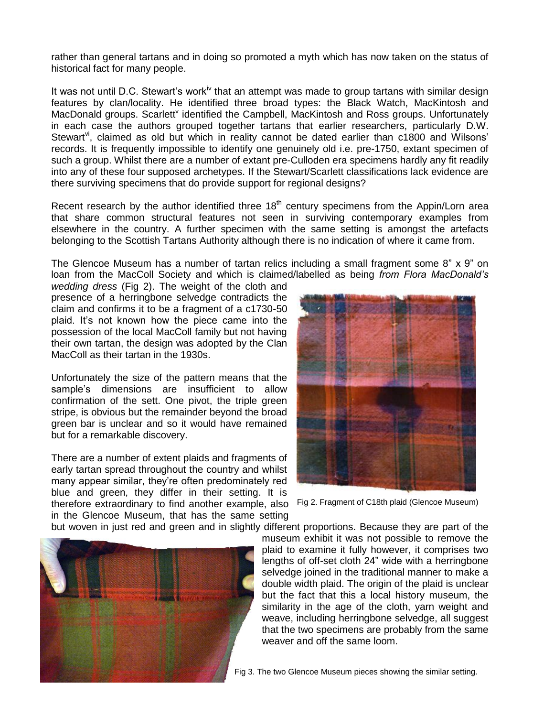rather than general tartans and in doing so promoted a myth which has now taken on the status of historical fact for many people.

It was not until D.C. Stewart's work<sup>iv</sup> that an attempt was made to group tartans with similar design features by clan/locality. He identified three broad types: the Black Watch, MacKintosh and MacDonald groups. Scarlett<sup>v</sup> identified the Campbell, MacKintosh and Ross groups. Unfortunately in each case the authors grouped together tartans that earlier researchers, particularly D.W. Stewart<sup>vi</sup>, claimed as old but which in reality cannot be dated earlier than  $c1800$  and Wilsons' records. It is frequently impossible to identify one genuinely old i.e. pre-1750, extant specimen of such a group. Whilst there are a number of extant pre-Culloden era specimens hardly any fit readily into any of these four supposed archetypes. If the Stewart/Scarlett classifications lack evidence are there surviving specimens that do provide support for regional designs?

Recent research by the author identified three  $18<sup>th</sup>$  century specimens from the Appin/Lorn area that share common structural features not seen in surviving contemporary examples from elsewhere in the country. A further specimen with the same setting is amongst the artefacts belonging to the Scottish Tartans Authority although there is no indication of where it came from.

The Glencoe Museum has a number of tartan relics including a small fragment some 8" x 9" on loan from the MacColl Society and which is claimed/labelled as being *from Flora MacDonald"s* 

*wedding dress* (Fig 2). The weight of the cloth and presence of a herringbone selvedge contradicts the claim and confirms it to be a fragment of a c1730-50 plaid. It's not known how the piece came into the possession of the local MacColl family but not having their own tartan, the design was adopted by the Clan MacColl as their tartan in the 1930s.

Unfortunately the size of the pattern means that the sample's dimensions are insufficient to allow confirmation of the sett. One pivot, the triple green stripe, is obvious but the remainder beyond the broad green bar is unclear and so it would have remained but for a remarkable discovery.

There are a number of extent plaids and fragments of early tartan spread throughout the country and whilst many appear similar, they're often predominately red blue and green, they differ in their setting. It is therefore extraordinary to find another example, also Fig 2. Fragment of C18th plaid (Glencoe Museum)

in the Glencoe Museum, that has the same setting



but woven in just red and green and in slightly different proportions. Because they are part of the

museum exhibit it was not possible to remove the plaid to examine it fully however, it comprises two lengths of off-set cloth 24" wide with a herringbone selvedge joined in the traditional manner to make a double width plaid. The origin of the plaid is unclear but the fact that this a local history museum, the similarity in the age of the cloth, yarn weight and weave, including herringbone selvedge, all suggest that the two specimens are probably from the same weaver and off the same loom.



Fig 3. The two Glencoe Museum pieces showing the similar setting.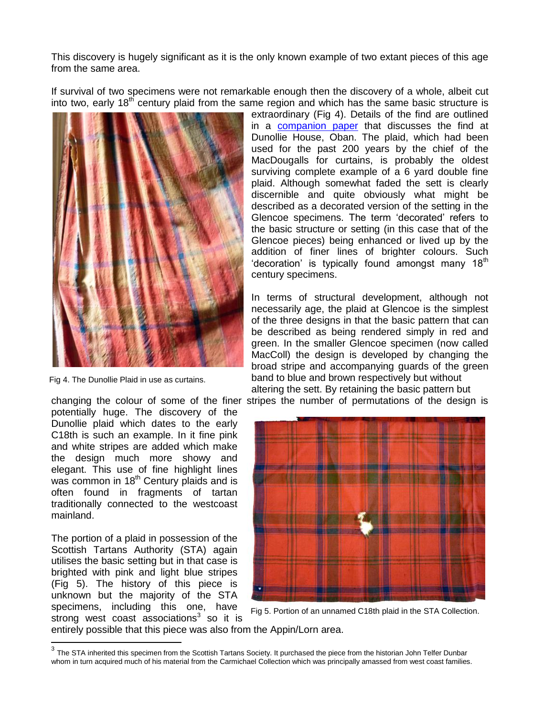This discovery is hugely significant as it is the only known example of two extant pieces of this age from the same area.

If survival of two specimens were not remarkable enough then the discovery of a whole, albeit cut into two, early  $18<sup>th</sup>$  century plaid from the same region and which has the same basic structure is



Fig 4. The Dunollie Plaid in use as curtains.

potentially huge. The discovery of the Dunollie plaid which dates to the early C18th is such an example. In it fine pink and white stripes are added which make the design much more showy and elegant. This use of fine highlight lines was common in  $18<sup>th</sup>$  Century plaids and is often found in fragments of tartan traditionally connected to the westcoast mainland.

The portion of a plaid in possession of the Scottish Tartans Authority (STA) again utilises the basic setting but in that case is brighted with pink and light blue stripes (Fig 5). The history of this piece is unknown but the majority of the STA specimens, including this one, have  $\frac{1}{3}$  strong west coast associations<sup>3</sup> so it is

extraordinary (Fig 4). Details of the find are outlined in a [companion paper](The_Dunollie_Plaid.pdf) that discusses the find at Dunollie House, Oban. The plaid, which had been used for the past 200 years by the chief of the MacDougalls for curtains, is probably the oldest surviving complete example of a 6 yard double fine plaid. Although somewhat faded the sett is clearly discernible and quite obviously what might be described as a decorated version of the setting in the Glencoe specimens. The term 'decorated' refers to the basic structure or setting (in this case that of the Glencoe pieces) being enhanced or lived up by the addition of finer lines of brighter colours. Such 'decoration' is typically found amongst many 18<sup>th</sup> century specimens.

In terms of structural development, although not necessarily age, the plaid at Glencoe is the simplest of the three designs in that the basic pattern that can be described as being rendered simply in red and green. In the smaller Glencoe specimen (now called MacColl) the design is developed by changing the broad stripe and accompanying guards of the green band to blue and brown respectively but without altering the sett. By retaining the basic pattern but

changing the colour of some of the finer stripes the number of permutations of the design is



Fig 5. Portion of an unnamed C18th plaid in the STA Collection.

entirely possible that this piece was also from the Appin/Lorn area.

 $^3$  The STA inherited this specimen from the Scottish Tartans Society. It purchased the piece from the historian John Telfer Dunbar whom in turn acquired much of his material from the Carmichael Collection which was principally amassed from west coast families.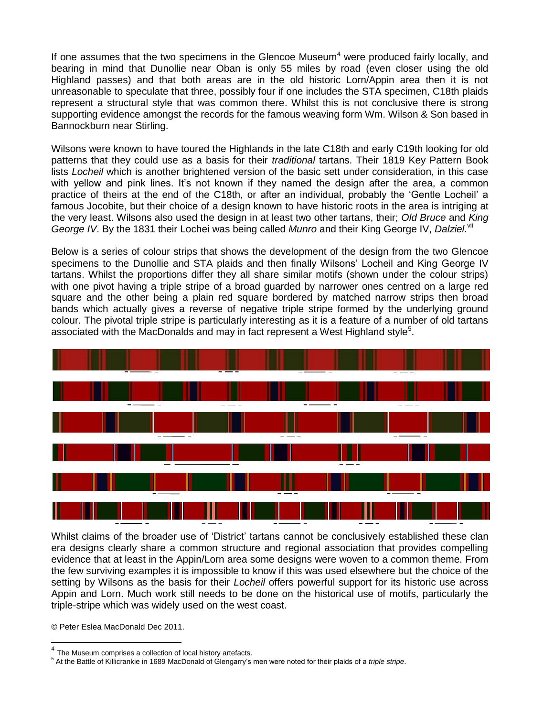If one assumes that the two specimens in the Glencoe Museum<sup>4</sup> were produced fairly locally, and bearing in mind that Dunollie near Oban is only 55 miles by road (even closer using the old Highland passes) and that both areas are in the old historic Lorn/Appin area then it is not unreasonable to speculate that three, possibly four if one includes the STA specimen, C18th plaids represent a structural style that was common there. Whilst this is not conclusive there is strong supporting evidence amongst the records for the famous weaving form Wm. Wilson & Son based in Bannockburn near Stirling.

Wilsons were known to have toured the Highlands in the late C18th and early C19th looking for old patterns that they could use as a basis for their *traditional* tartans. Their 1819 Key Pattern Book lists *Locheil* which is another brightened version of the basic sett under consideration, in this case with yellow and pink lines. It's not known if they named the design after the area, a common practice of theirs at the end of the C18th, or after an individual, probably the 'Gentle Locheil' a famous Jocobite, but their choice of a design known to have historic roots in the area is intriging at the very least. Wilsons also used the design in at least two other tartans, their; *Old Bruce* and *King*  George IV. By the 1831 their Lochei was being called Munro and their King George IV, Dalziel.<sup>vii</sup>

Below is a series of colour strips that shows the development of the design from the two Glencoe specimens to the Dunollie and STA plaids and then finally Wilsons' Locheil and King George IV tartans. Whilst the proportions differ they all share similar motifs (shown under the colour strips) with one pivot having a triple stripe of a broad guarded by narrower ones centred on a large red square and the other being a plain red square bordered by matched narrow strips then broad bands which actually gives a reverse of negative triple stripe formed by the underlying ground colour. The pivotal triple stripe is particularly interesting as it is a feature of a number of old tartans associated with the MacDonalds and may in fact represent a West Highland style<sup>5</sup>.



Whilst claims of the broader use of 'District' tartans cannot be conclusively established these clan era designs clearly share a common structure and regional association that provides compelling evidence that at least in the Appin/Lorn area some designs were woven to a common theme. From the few surviving examples it is impossible to know if this was used elsewhere but the choice of the setting by Wilsons as the basis for their *Locheil* offers powerful support for its historic use across Appin and Lorn. Much work still needs to be done on the historical use of motifs, particularly the triple-stripe which was widely used on the west coast.

© Peter Eslea MacDonald Dec 2011.

 $4$  The Museum comprises a collection of local history artefacts.

<sup>5</sup> At the Battle of Killicrankie in 1689 MacDonald of Glengarry's men were noted for their plaids of a *triple stripe*.